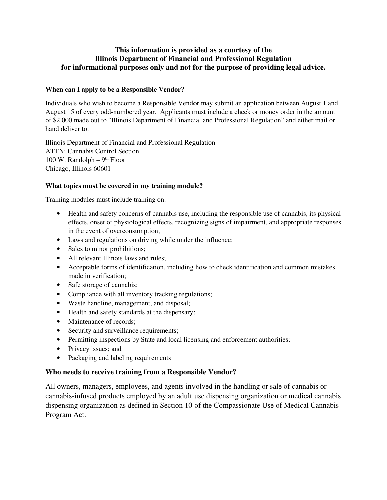### **This information is provided as a courtesy of the Illinois Department of Financial and Professional Regulation for informational purposes only and not for the purpose of providing legal advice.**

#### **When can I apply to be a Responsible Vendor?**

Individuals who wish to become a Responsible Vendor may submit an application between August 1 and August 15 of every odd-numbered year. Applicants must include a check or money order in the amount of \$2,000 made out to "Illinois Department of Financial and Professional Regulation" and either mail or hand deliver to:

Illinois Department of Financial and Professional Regulation ATTN: Cannabis Control Section 100 W. Randolph –  $9<sup>th</sup>$  Floor Chicago, Illinois 60601

### **What topics must be covered in my training module?**

Training modules must include training on:

- Health and safety concerns of cannabis use, including the responsible use of cannabis, its physical effects, onset of physiological effects, recognizing signs of impairment, and appropriate responses in the event of overconsumption;
- Laws and regulations on driving while under the influence;
- Sales to minor prohibitions;
- All relevant Illinois laws and rules:
- Acceptable forms of identification, including how to check identification and common mistakes made in verification;
- Safe storage of cannabis;
- Compliance with all inventory tracking regulations;
- Waste handline, management, and disposal;
- Health and safety standards at the dispensary;
- Maintenance of records;
- Security and surveillance requirements;
- Permitting inspections by State and local licensing and enforcement authorities;
- Privacy issues; and
- Packaging and labeling requirements

# **Who needs to receive training from a Responsible Vendor?**

All owners, managers, employees, and agents involved in the handling or sale of cannabis or cannabis-infused products employed by an adult use dispensing organization or medical cannabis dispensing organization as defined in Section 10 of the Compassionate Use of Medical Cannabis Program Act.